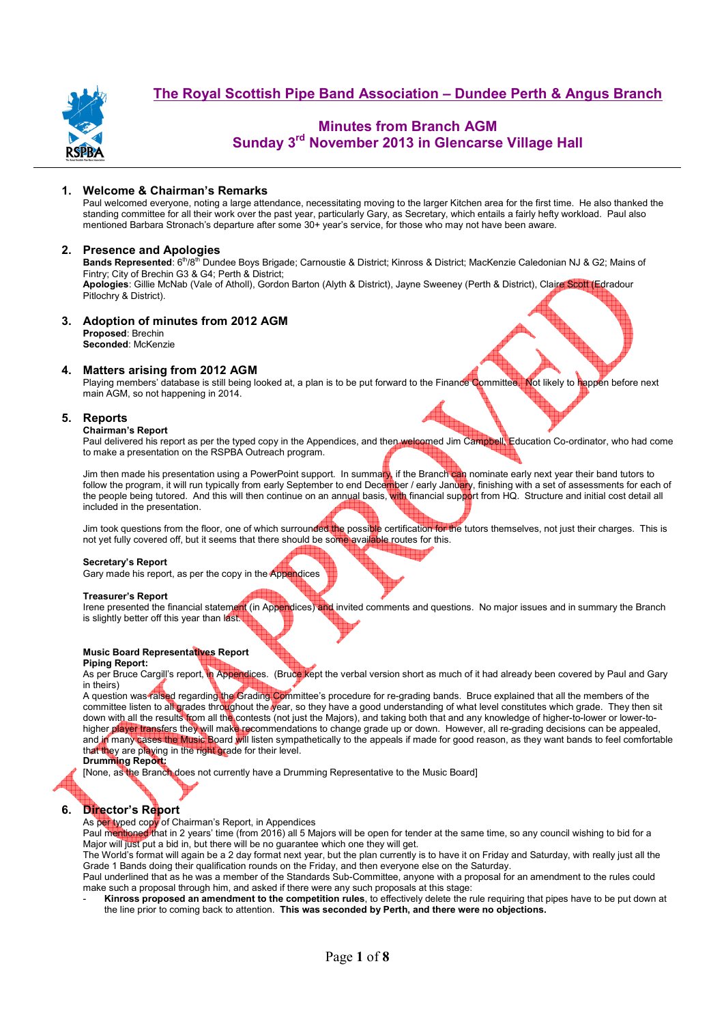

## **Minutes from Branch AGM Sunday 3rd November 2013 in Glencarse Village Hall**

## **1. Welcome & Chairman's Remarks**

Paul welcomed everyone, noting a large attendance, necessitating moving to the larger Kitchen area for the first time. He also thanked the standing committee for all their work over the past year, particularly Gary, as Secretary, which entails a fairly hefty workload. Paul also mentioned Barbara Stronach's departure after some 30+ year's service, for those who may not have been aware.

## **2. Presence and Apologies**

**Bands Represented**: 6<sup>th</sup>/8<sup>th</sup> Dundee Boys Brigade; Carnoustie & District; Kinross & District; MacKenzie Caledonian NJ & G2; Mains of Fintry; City of Brechin G3 & G4; Perth & District;

**Apologies**: Gillie McNab (Vale of Atholl), Gordon Barton (Alyth & District), Jayne Sweeney (Perth & District), Claire Scott (Edradour Pitlochry & District).

## **3. Adoption of minutes from 2012 AGM**

**Proposed**: Brechin **Seconded**: McKenzie

## **4. Matters arising from 2012 AGM**

Playing members' database is still being looked at, a plan is to be put forward to the Finance Committee. Not likely to happen before next main AGM, so not happening in 2014.

## **5. Reports**

## **Chairman's Report**

Paul delivered his report as per the typed copy in the Appendices, and then welcomed Jim Campbell, Education Co-ordinator, who had come to make a presentation on the RSPBA Outreach program.

Jim then made his presentation using a PowerPoint support. In summary, if the Branch can nominate early next year their band tutors to follow the program, it will run typically from early September to end Dece<mark>mb</mark>er / early Janu<mark>ar</mark>y, finishing with a set of assessments for each of the people being tutored. And this will then continue on an annual basis, with financial support from HQ. Structure and initial cost detail all included in the presentation.

Jim took questions from the floor, one of which surrounded the possible certification for the tutors themselves, not just their charges. This is not yet fully covered off, but it seems that there should be some available routes for this.

## **Secretary's Report**

Gary made his report, as per the copy in the Appendices

#### **Treasurer's Report**

Irene presented the financial statement (in Appendices) and invited comments and questions. No major issues and in summary the Branch is slightly better off this year than last.

## **Music Board Representatives Report**

## **Piping Report:**

As per Bruce Cargill's report, in Appendices. (Bruce kept the verbal version short as much of it had already been covered by Paul and Gary in theirs)

A question was raised regarding the Grading Committee's procedure for re-grading bands. Bruce explained that all the members of the committee listen to all grades throughout the year, so they have a good understanding of what level constitutes which grade. They then sit down with all the results from all the contests (not just the Majors), and taking both that and any knowledge of higher-to-lower or lower-tohigher player transfers they will make recommendations to change grade up or down. However, all re-grading decisions can be appealed, and in many cases the Music Board will listen sympathetically to the appeals if made for good reason, as they want bands to feel comfortable that they are playing in the right grade for their level.

#### **Drumming Report:**

[None, as the Branch does not currently have a Drumming Representative to the Music Board]

## **6. Director's Report**

As per typed copy of Chairman's Report, in Appendices

Paul mentioned that in 2 years' time (from 2016) all 5 Majors will be open for tender at the same time, so any council wishing to bid for a Major will just put a bid in, but there will be no guarantee which one they will get.

The World's format will again be a 2 day format next year, but the plan currently is to have it on Friday and Saturday, with really just all the Grade 1 Bands doing their qualification rounds on the Friday, and then everyone else on the Saturday.

Paul underlined that as he was a member of the Standards Sub-Committee, anyone with a proposal for an amendment to the rules could make such a proposal through him, and asked if there were any such proposals at this stage:

- **Kinross proposed an amendment to the competition rules**, to effectively delete the rule requiring that pipes have to be put down at the line prior to coming back to attention. **This was seconded by Perth, and there were no objections.**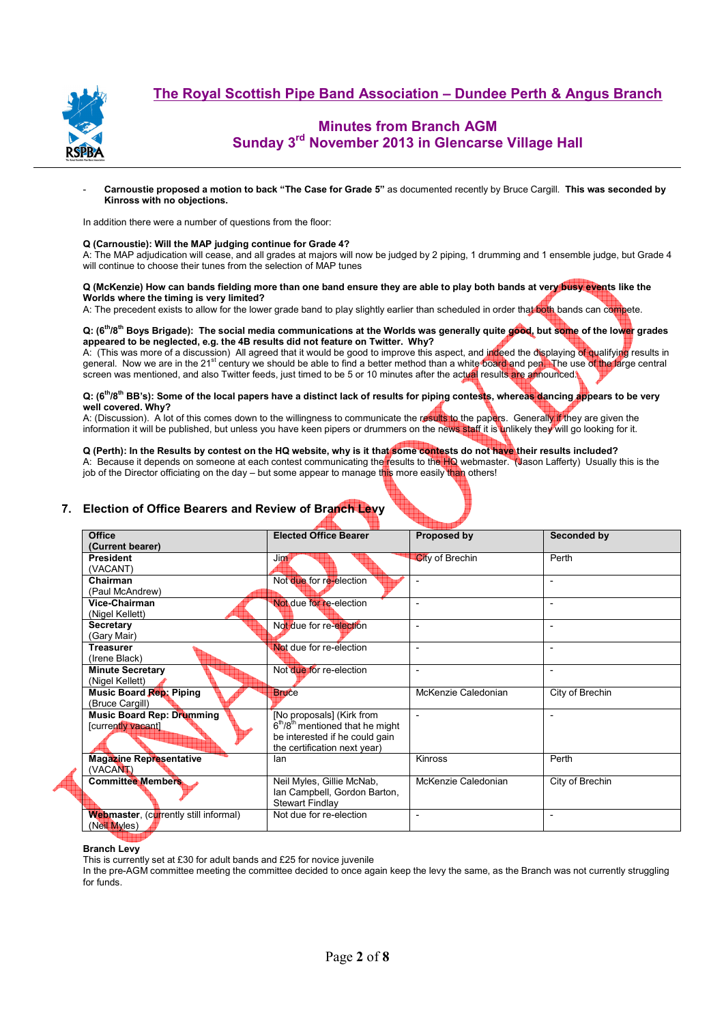

# **Minutes from Branch AGM Sunday 3rd November 2013 in Glencarse Village Hall**

- **Carnoustie proposed a motion to back "The Case for Grade 5"** as documented recently by Bruce Cargill. **This was seconded by Kinross with no objections.** 

In addition there were a number of questions from the floor:

## **Q (Carnoustie): Will the MAP judging continue for Grade 4?**

A: The MAP adjudication will cease, and all grades at majors will now be judged by 2 piping, 1 drumming and 1 ensemble judge, but Grade 4 will continue to choose their tunes from the selection of MAP tunes

**Q (McKenzie) How can bands fielding more than one band ensure they are able to play both bands at very busy events like the**  Worlds where the timing is very limited?

A: The precedent exists to allow for the lower grade band to play slightly earlier than scheduled in order that both bands can compete.

### **Q: (6th/8th Boys Brigade): The social media communications at the Worlds was generally quite good, but some of the lower grades appeared to be neglected, e.g. the 4B results did not feature on Twitter. Why?**

A: (This was more of a discussion) All agreed that it would be good to improve this aspect, and indeed the displaying of qualifying results in general. Now we are in the 21<sup>st</sup> century we should be able to find a better method than a white board and pen. The use of the large central screen was mentioned, and also Twitter feeds, just timed to be 5 or 10 minutes after the actual results are announced.

### **Q: (6th/8th BB's): Some of the local papers have a distinct lack of results for piping contests, whereas dancing appears to be very well covered. Why?**

A: (Discussion). A lot of this comes down to the willingness to communicate the results to the papers. Generally if they are given the information it will be published, but unless you have keen pipers or drummers on the news staff it is unlikely they will go looking for it.

## **Q (Perth): In the Results by contest on the HQ website, why is it that some contests do not have their results included?**

A: Because it depends on someone at each contest communicating the results to the HQ webmaster. (Jason Lafferty) Usually this is the job of the Director officiating on the day – but some appear to manage this more easily than others!

## **7. Election of Office Bearers and Review of Branch Levy**

| Office                                       | <b>Elected Office Bearer</b>                | Proposed by              | Seconded by              |  |
|----------------------------------------------|---------------------------------------------|--------------------------|--------------------------|--|
| (Current bearer)                             |                                             |                          |                          |  |
| <b>President</b>                             | Jin                                         | <b>City of Brechin</b>   | Perth                    |  |
| (VACANT)                                     |                                             |                          |                          |  |
| Chairman                                     | Not due for re-election                     |                          | $\overline{\phantom{a}}$ |  |
| (Paul McAndrew)                              |                                             |                          |                          |  |
| Vice-Chairman                                | Not due for re-election                     |                          | $\overline{\phantom{a}}$ |  |
| (Nigel Kellett)                              |                                             |                          |                          |  |
| <b>Secretary</b>                             | Not due for re-election                     | $\overline{\phantom{a}}$ | $\overline{\phantom{a}}$ |  |
| (Gary Mair)                                  |                                             |                          |                          |  |
| Treasurer                                    | Not due for re-election                     | $\overline{\phantom{a}}$ | ÷                        |  |
| (Irene Black)                                |                                             |                          |                          |  |
| <b>Minute Secretary</b>                      | Not due for re-election                     | $\overline{\phantom{a}}$ | $\overline{\phantom{a}}$ |  |
| (Nigel Kellett)                              |                                             |                          |                          |  |
| Music Board Rep: Piping                      | <b>Bruce</b>                                | McKenzie Caledonian      | City of Brechin          |  |
| (Bruce Cargill)                              |                                             |                          |                          |  |
| <b>Music Board Rep: Drumming</b>             | [No proposals] (Kirk from                   | $\overline{\phantom{a}}$ | $\overline{\phantom{a}}$ |  |
| [currently vacant]                           | 6th/8 <sup>th</sup> mentioned that he might |                          |                          |  |
|                                              | be interested if he could gain              |                          |                          |  |
|                                              | the certification next year)                |                          |                          |  |
| <b>Magazine Representative</b>               | lan                                         | Kinross                  | Perth                    |  |
| (VACAN)                                      |                                             |                          |                          |  |
| <b>Committee Members</b>                     | Neil Myles, Gillie McNab,                   | McKenzie Caledonian      | City of Brechin          |  |
|                                              | Ian Campbell, Gordon Barton,                |                          |                          |  |
|                                              | <b>Stewart Findlay</b>                      |                          |                          |  |
| <b>Webmaster, (currently still informal)</b> | Not due for re-election                     |                          | $\overline{\phantom{a}}$ |  |
| (Neil Myles)                                 |                                             |                          |                          |  |

## **Branch Levy**

This is currently set at £30 for adult bands and £25 for novice juvenile

In the pre-AGM committee meeting the committee decided to once again keep the levy the same, as the Branch was not currently struggling for funds.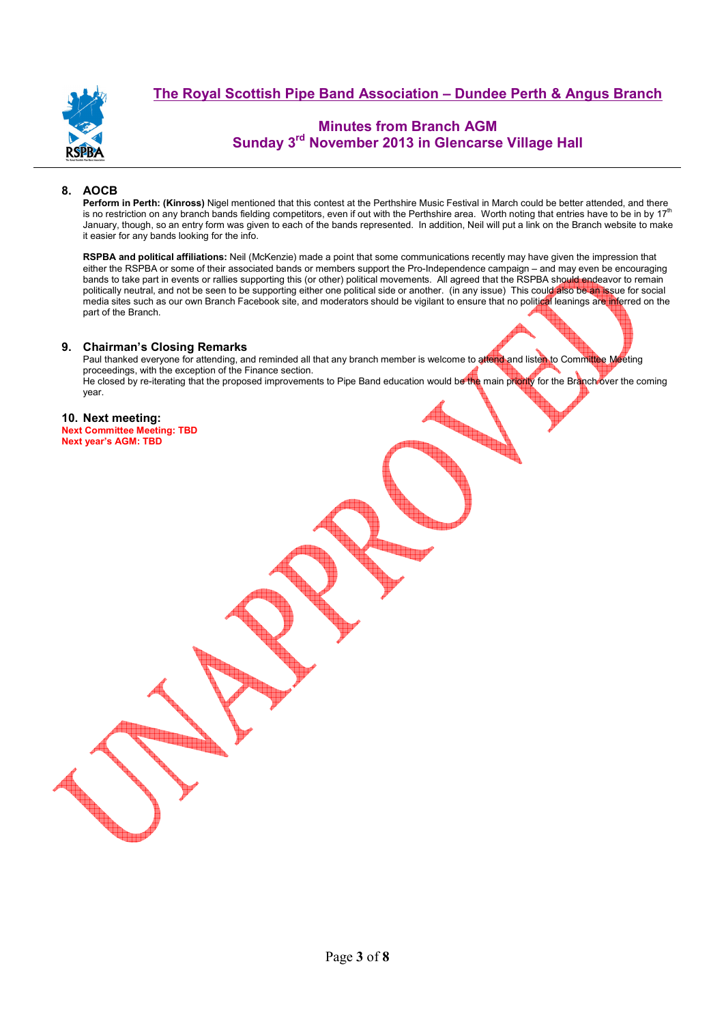

# **Minutes from Branch AGM Sunday 3rd November 2013 in Glencarse Village Hall**

## **8. AOCB**

**Perform in Perth: (Kinross)** Nigel mentioned that this contest at the Perthshire Music Festival in March could be better attended, and there is no restriction on any branch bands fielding competitors, even if out with the Perthshire area. Worth noting that entries have to be in by  $17<sup>th</sup>$ January, though, so an entry form was given to each of the bands represented. In addition, Neil will put a link on the Branch website to make it easier for any bands looking for the info.

**RSPBA and political affiliations:** Neil (McKenzie) made a point that some communications recently may have given the impression that either the RSPBA or some of their associated bands or members support the Pro-Independence campaign – and may even be encouraging bands to take part in events or rallies supporting this (or other) political movements. All agreed that the RSPBA should endeavor to remain politically neutral, and not be seen to be supporting either one political side or another. (in any issue) This could also be an issue for social media sites such as our own Branch Facebook site, and moderators should be vigilant to ensure that no political leanings are inferred on the part of the Branch.

## **9. Chairman's Closing Remarks**

Paul thanked everyone for attending, and reminded all that any branch member is welcome to attend and listen to Committee Meeting proceedings, with the exception of the Finance section. He closed by re-iterating that the proposed improvements to Pipe Band education would be the main priority for the Branch over the coming year.

## **10. Next meeting:**

**Next Committee Meeting: TBD Next year's AGM: TBD**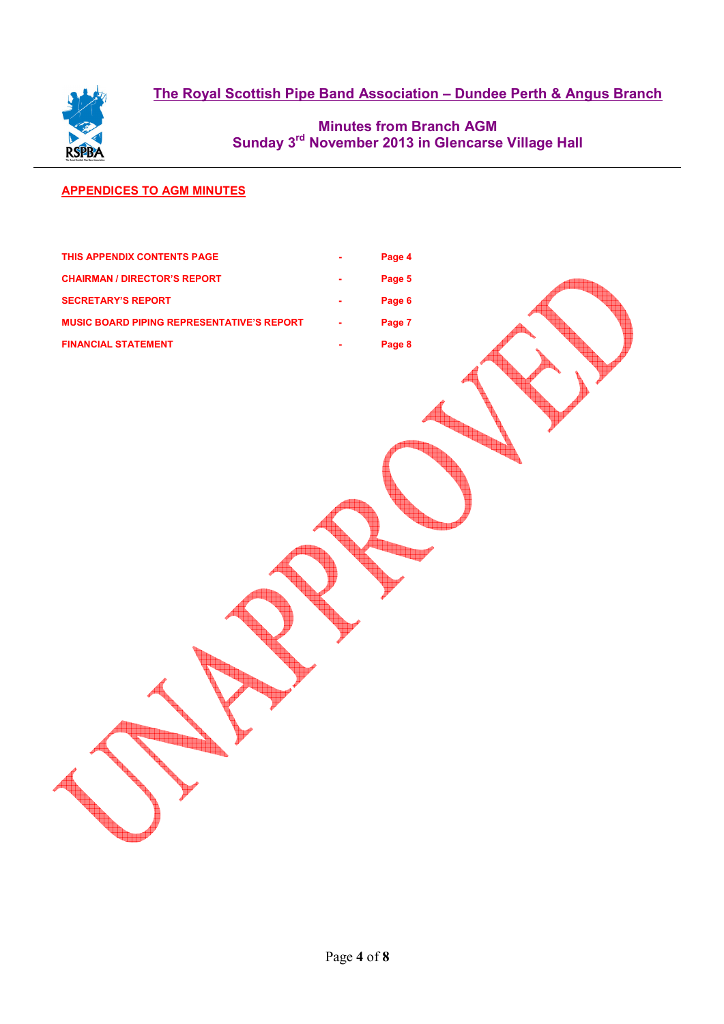

# **Minutes from Branch AGM Sunday 3rd November 2013 in Glencarse Village Hall**

## **APPENDICES TO AGM MINUTES**

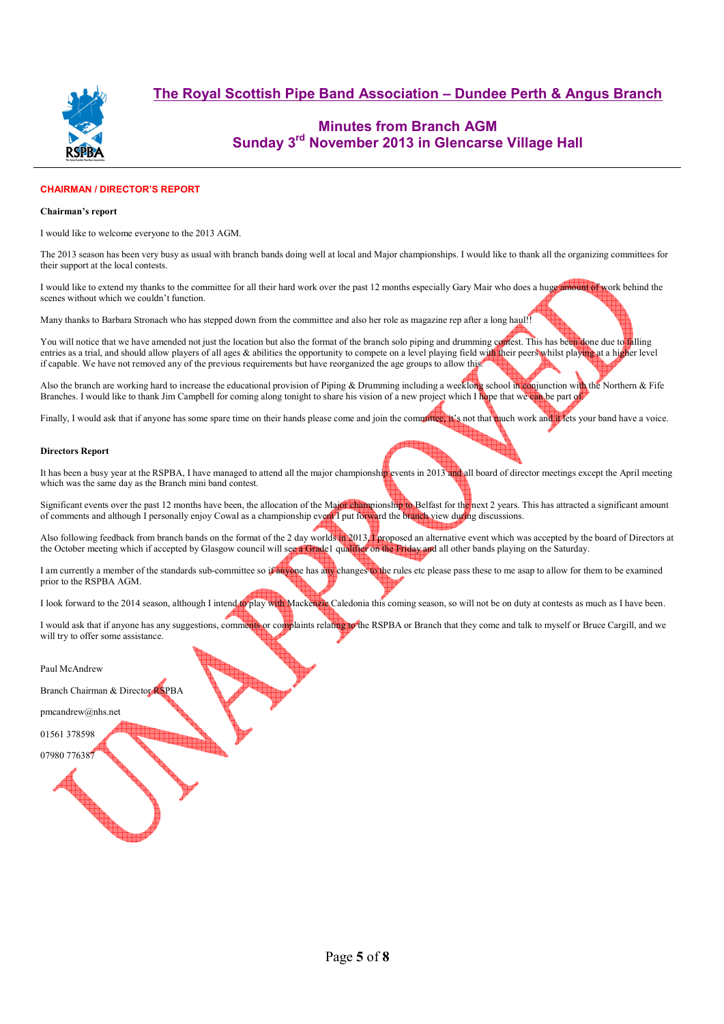

# **Minutes from Branch AGM Sunday 3rd November 2013 in Glencarse Village Hall**

## **CHAIRMAN / DIRECTOR'S REPORT**

### **Chairman's report**

I would like to welcome everyone to the 2013 AGM.

The 2013 season has been very busy as usual with branch bands doing well at local and Major championships. I would like to thank all the organizing committees for their support at the local contests.

I would like to extend my thanks to the committee for all their hard work over the past 12 months especially Gary Mair who does a huge amount of work behind the scenes without which we couldn't function.

Many thanks to Barbara Stronach who has stepped down from the committee and also her role as magazine rep after a long haul!!

You will notice that we have amended not just the location but also the format of the branch solo piping and drumming correst. This has been done due to falling entries as a trial, and should allow players of all ages & abilities the opportunity to compete on a level playing field with their peers whilst playing at a higher level if capable. We have not removed any of the previous requirements but have reorganized the age groups to allow this.

Also the branch are working hard to increase the educational provision of Piping & Drumming including a weeklong school in conjunction with the Northern & Fife Branches. I would like to thank Jim Campbell for coming along tonight to share his vision of a new project which I hope that we can be part of

Finally, I would ask that if anyone has some spare time on their hands please come and join the committee, it's not that much work and it lets your band have a voice.

### **Directors Report**

It has been a busy year at the RSPBA, I have managed to attend all the major championship events in 2013 and all board of director meetings except the April meeting which was the same day as the Branch mini band contest.

Significant events over the past 12 months have been, the allocation of the Major championship to Belfast for the next 2 years. This has attracted a significant amount of comments and although I personally enjoy Cowal as a championship event I put forward the branch view during discussions.

Also following feedback from branch bands on the format of the 2 day worlds in 2013, I proposed an alternative event which was accepted by the board of Directors at the October meeting which if accepted by Glasgow council will see a Grade1 qualifier on the Friday and all other bands playing on the Saturday.

I am currently a member of the standards sub-committee so if anyone has any changes to the rules etc please pass these to me asap to allow for them to be examined prior to the RSPBA AGM.

I look forward to the 2014 season, although I intend to play with Mackenzie Caledonia this coming season, so will not be on duty at contests as much as I have been.

I would ask that if anyone has any suggestions, comments or complaints relating to the RSPBA or Branch that they come and talk to myself or Bruce Cargill, and we will try to offer some assistance.

#### Paul McAndrew

Branch Chairman & Director RSPBA

pmcandrew@nhs.net

01561 378598

07980 776387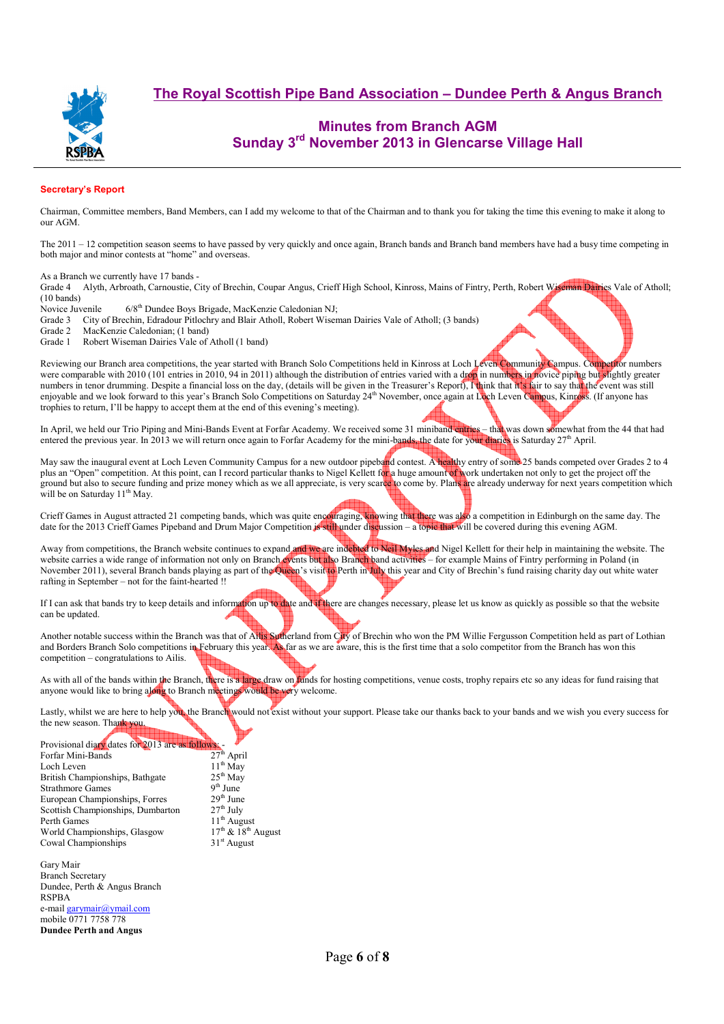

# **Minutes from Branch AGM Sunday 3rd November 2013 in Glencarse Village Hall**

## **Secretary's Report**

Chairman, Committee members, Band Members, can I add my welcome to that of the Chairman and to thank you for taking the time this evening to make it along to our AGM.

The 2011 – 12 competition season seems to have passed by very quickly and once again, Branch bands and Branch band members have had a busy time competing in both major and minor contests at "home" and overseas.

As a Branch we currently have 17 bands -

Grade 4 Alyth, Arbroath, Carnoustie, City of Brechin, Coupar Angus, Crieff High School, Kinross, Mains of Fintry, Perth, Robert Wiseman Dairies Vale of Atholl; (10 bands)

Novice Juvenile 6/8<sup>th</sup> Dundee Boys Brigade, MacKenzie Caledonian NJ;<br>Grade 3 City of Brechin, Edradour Pitlochry and Blair Atholl, Robert Wiser

Grade 3 City of Brechin, Edradour Pitlochry and Blair Atholl, Robert Wiseman Dairies Vale of Atholl; (3 bands)<br>Grade 2 MacKenzie Caledonian; (1 band)

Grade 2 MacKenzie Caledonian; (1 band)<br>Grade 1 Robert Wiseman Dairies Vale of

Robert Wiseman Dairies Vale of Atholl (1 band)

Reviewing our Branch area competitions, the year started with Branch Solo Competitions held in Kinross at Loch Leven Community Campus. Competitor numbers were comparable with 2010 (101 entries in 2010, 94 in 2011) although the distribution of entries varied with a drop in numbers in novice piping but slightly greater numbers in tenor drumming. Despite a financial loss on the day, (details will be given in the Treasurer's Report), I think that it's fair to say that the event was still enjoyable and we look forward to this year's Branch Solo Competitions on Saturday 24<sup>th</sup> November, once again at Loch Leven Campus, Kinross. (If anyone has trophies to return, I'll be happy to accept them at the end of this evening's meeting).

In April, we held our Trio Piping and Mini-Bands Event at Forfar Academy. We received some 31 miniband entries – that was down somewhat from the 44 that had entered the previous year. In 2013 we will return once again to Forfar Academy for the mini-bands, the date for your diaries is Saturday  $27<sup>th</sup>$  April.

May saw the inaugural event at Loch Leven Community Campus for a new outdoor pipeband contest. A healthy entry of some 25 bands competed over Grades 2 to 4 plus an "Open" competition. At this point, can I record particular thanks to Nigel Kellett for a huge amount of work undertaken not only to get the project off the ground but also to secure funding and prize money which as we all appreciate, is very scarce to come by. Plans are already underway for next years competition which will be on Saturday 11<sup>th</sup> May.

Crieff Games in August attracted 21 competing bands, which was quite encouraging, knowing that there was also a competition in Edinburgh on the same day. The date for the 2013 Crieff Games Pipeband and Drum Major Competition is still under discussion – a topic that will be covered during this evening AGM.

Away from competitions, the Branch website continues to expand and we are indebted to Neil Myles and Nigel Kellett for their help in maintaining the website. The website carries a wide range of information not only on Branch events but also Branch band activities – for example Mains of Fintry performing in Poland (in November 2011), several Branch bands playing as part of the Queen's visit to Perth in July this year and City of Brechin's fund raising charity day out white water rafting in September – not for the faint-hearted !!

If I can ask that bands try to keep details and information up to date and if there are changes necessary, please let us know as quickly as possible so that the website can be updated.

Another notable success within the Branch was that of Ailis Sutherland from City of Brechin who won the PM Willie Fergusson Competition held as part of Lothian and Borders Branch Solo competitions in February this year. As far as we are aware, this is the first time that a solo competitor from the Branch has won this competition – congratulations to Ailis.

As with all of the bands within the Branch, there is a large draw on funds for hosting competitions, venue costs, trophy repairs etc so any ideas for fund raising that anyone would like to bring along to Branch meetings would be very welcome.

Lastly, whilst we are here to help you, the Branch would not exist without your support. Please take our thanks back to your bands and we wish you every success for the new season. Thank you.

| Provisional diary dates for 2013 are as follows. |                        |
|--------------------------------------------------|------------------------|
| Forfar Mini-Bands                                | $27th$ April           |
| Loch Leven                                       | $11th$ May             |
| British Championships, Bathgate                  | $25th$ May             |
| <b>Strathmore Games</b>                          | $9th$ June             |
| European Championships, Forres                   | $29th$ June            |
| Scottish Championships, Dumbarton                | $27th$ July            |
| Perth Games                                      | $11th$ August          |
| World Championships, Glasgow                     | $17th$ & $18th$ August |
| Cowal Championships                              | $31st$ August          |
|                                                  |                        |

Gary Mair Branch Secretary Dundee, Perth & Angus Branch RSPBA e-mail garymair@ymail.com mobile 0771 7758 778 **Dundee Perth and Angus**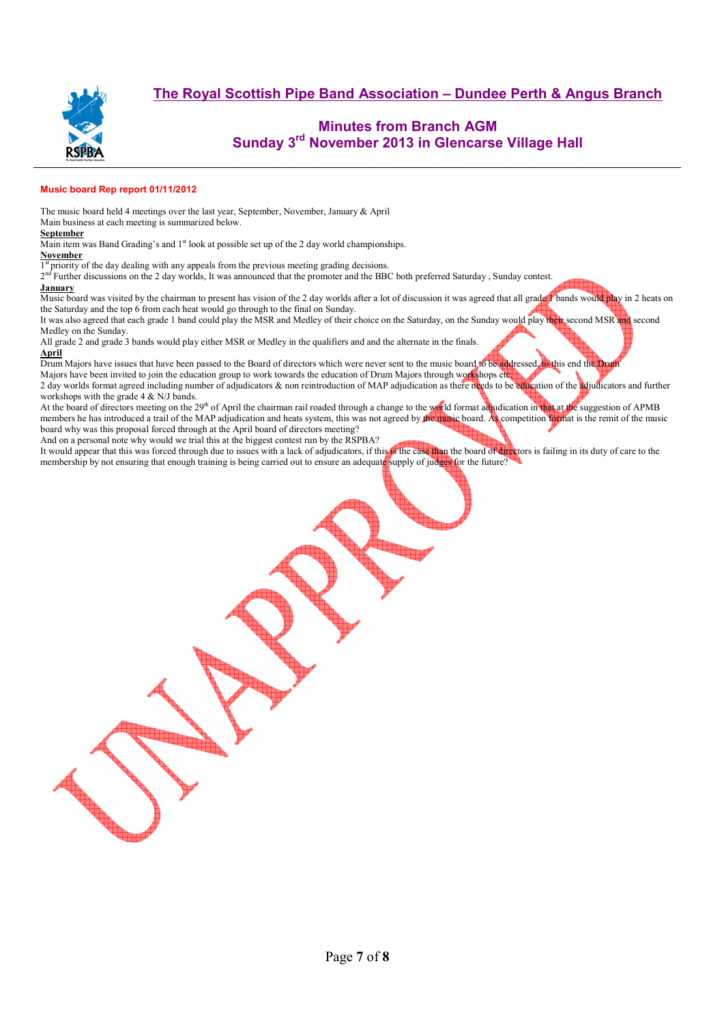

## **Minutes from Branch AGM Sunday 3rd November 2013 in Glencarse Village Hall**

## **Music board Rep report 01/11/2012**

The music board held 4 meetings over the last year, September, November, January & April

Main business at each meeting is summarized below.

### **September**

Main item was Band Grading's and  $1<sup>st</sup>$  look at possible set up of the 2 day world championships.

#### **November**

1<sup>st</sup> priority of the day dealing with any appeals from the previous meeting grading decisions.

2<sup>nd</sup> Further discussions on the 2 day worlds, It was announced that the promoter and the BBC both preferred Saturday, Sunday contest. **January** 

Music board was visited by the chairman to present has vision of the 2 day worlds after a lot of discussion it was agreed that all grade 1 bands would play in 2 heats on the Saturday and the top 6 from each heat would go through to the final on Sunday.

It was also agreed that each grade 1 band could play the MSR and Medley of their choice on the Saturday, on the Sunday would play their second MSR and second Medley on the Sunday.

All grade 2 and grade 3 bands would play either MSR or Medley in the qualifiers and and the alternate in the finals. **April**

Drum Majors have issues that have been passed to the Board of directors which were never sent to the music board to be addressed, to this end the Drum

Majors have been invited to join the education group to work towards the education of Drum Majors through workshops etc. 2 day worlds format agreed including number of adjudicators & non reintroduction of MAP adjudication as there needs to be education of the adjudicators and further workshops with the grade 4 & N/J bands.

At the board of directors meeting on the 29<sup>th</sup> of April the chairman rail roaded through a change to the world format adjudication in that at the suggestion of APMB members he has introduced a trail of the MAP adjudication and heats system, this was not agreed by the music board. As competition format is the remit of the music board why was this proposal forced through at the April board of directors meeting?

And on a personal note why would we trial this at the biggest contest run by the RSPBA?

It would appear that this was forced through due to issues with a lack of adjudicators, if this is the case than the board of directors is failing in its duty of care to the membership by not ensuring that enough training is being carried out to ensure an adequate supply of judges for the future?